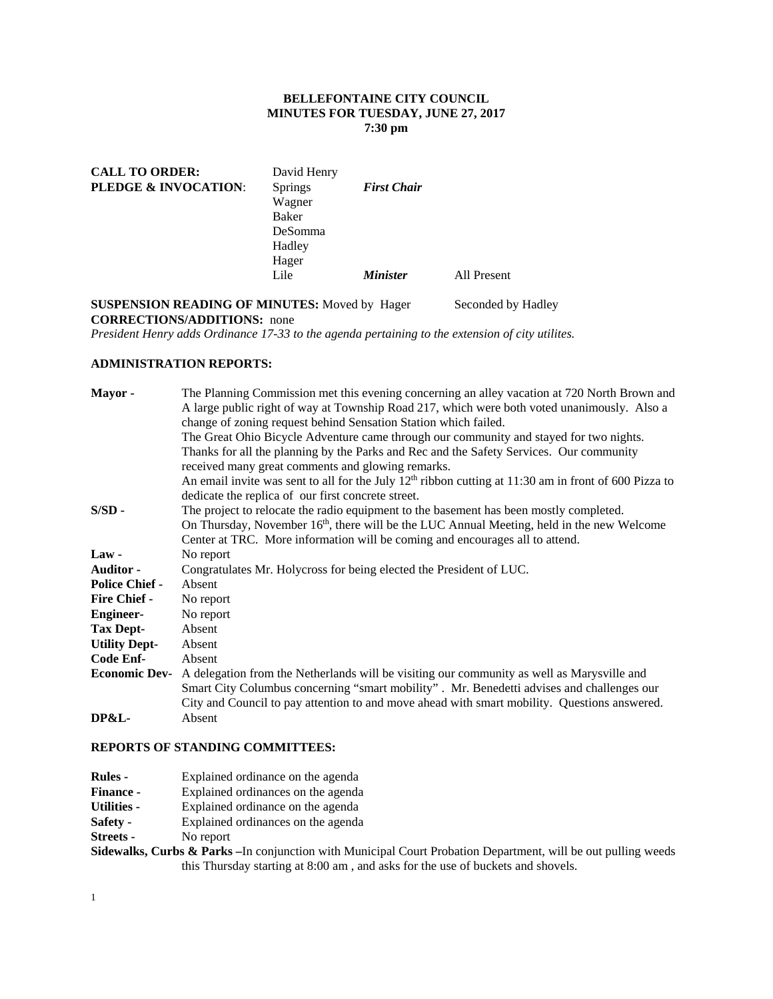## **BELLEFONTAINE CITY COUNCIL MINUTES FOR TUESDAY, JUNE 27, 2017 7:30 pm**

| <b>CALL TO ORDER:</b>           | David Henry    |                    |             |
|---------------------------------|----------------|--------------------|-------------|
| <b>PLEDGE &amp; INVOCATION:</b> | <b>Springs</b> | <b>First Chair</b> |             |
|                                 | Wagner         |                    |             |
|                                 | Baker          |                    |             |
|                                 | DeSomma        |                    |             |
|                                 | Hadley         |                    |             |
|                                 | Hager          |                    |             |
|                                 | Lile           | <b>Minister</b>    | All Present |

# **SUSPENSION READING OF MINUTES:** Moved by Hager Seconded by Hadley **CORRECTIONS/ADDITIONS:** none

*President Henry adds Ordinance 17-33 to the agenda pertaining to the extension of city utilites.* 

## **ADMINISTRATION REPORTS:**

| Mayor -               | The Planning Commission met this evening concerning an alley vacation at 720 North Brown and            |
|-----------------------|---------------------------------------------------------------------------------------------------------|
|                       | A large public right of way at Township Road 217, which were both voted unanimously. Also a             |
|                       | change of zoning request behind Sensation Station which failed.                                         |
|                       | The Great Ohio Bicycle Adventure came through our community and stayed for two nights.                  |
|                       | Thanks for all the planning by the Parks and Rec and the Safety Services. Our community                 |
|                       | received many great comments and glowing remarks.                                                       |
|                       | An email invite was sent to all for the July $12th$ ribbon cutting at 11:30 am in front of 600 Pizza to |
|                       | dedicate the replica of our first concrete street.                                                      |
| $S/SD -$              | The project to relocate the radio equipment to the basement has been mostly completed.                  |
|                       | On Thursday, November 16 <sup>th</sup> , there will be the LUC Annual Meeting, held in the new Welcome  |
|                       | Center at TRC. More information will be coming and encourages all to attend.                            |
| $Law -$               | No report                                                                                               |
| <b>Auditor</b> -      | Congratulates Mr. Holycross for being elected the President of LUC.                                     |
| <b>Police Chief -</b> | Absent                                                                                                  |
| <b>Fire Chief -</b>   | No report                                                                                               |
| <b>Engineer-</b>      | No report                                                                                               |
| <b>Tax Dept-</b>      | Absent                                                                                                  |
| <b>Utility Dept-</b>  | Absent                                                                                                  |
| Code Enf-             | Absent                                                                                                  |
| <b>Economic Dev-</b>  | A delegation from the Netherlands will be visiting our community as well as Marysville and              |
|                       | Smart City Columbus concerning "smart mobility". Mr. Benedetti advises and challenges our               |
|                       | City and Council to pay attention to and move ahead with smart mobility. Questions answered.            |
| <b>DP&amp;L-</b>      | Absent                                                                                                  |
|                       |                                                                                                         |

### **REPORTS OF STANDING COMMITTEES:**

| <b>Rules -</b>     | Explained ordinance on the agenda  |
|--------------------|------------------------------------|
| <b>Finance -</b>   | Explained ordinances on the agenda |
| <b>Utilities -</b> | Explained ordinance on the agenda  |
| Safety -           | Explained ordinances on the agenda |

**Streets -** No report

**Sidewalks, Curbs & Parks –**In conjunction with Municipal Court Probation Department, will be out pulling weeds this Thursday starting at 8:00 am , and asks for the use of buckets and shovels.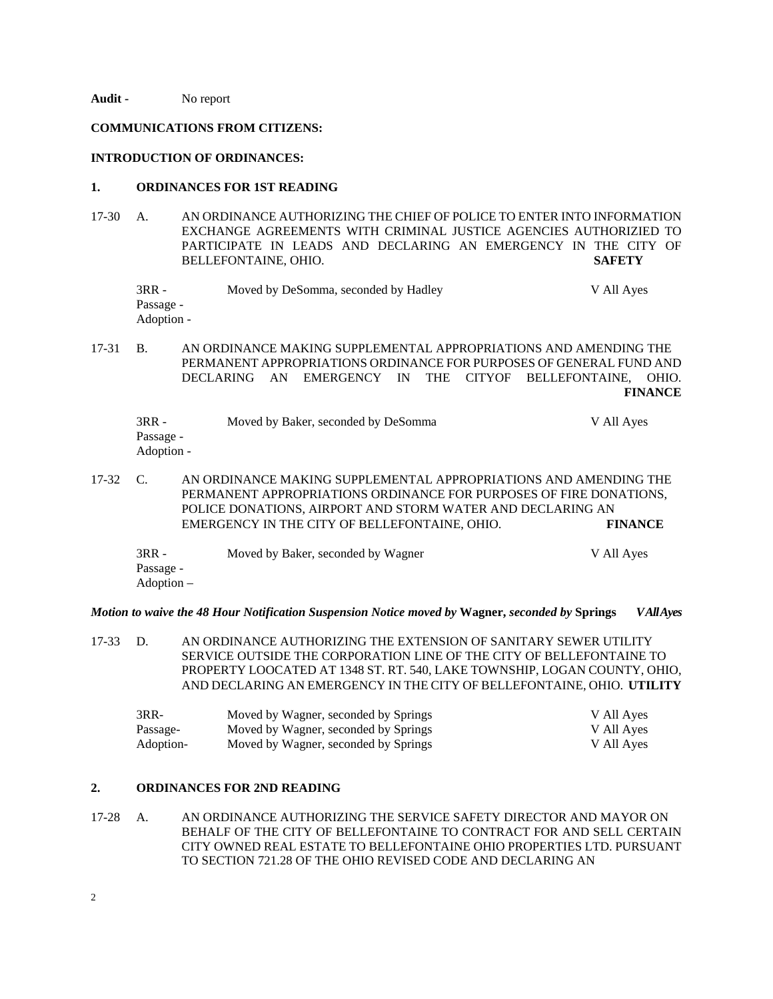**Audit -** No report

### **COMMUNICATIONS FROM CITIZENS:**

#### **INTRODUCTION OF ORDINANCES:**

### **1. ORDINANCES FOR 1ST READING**

17-30 A. AN ORDINANCE AUTHORIZING THE CHIEF OF POLICE TO ENTER INTO INFORMATION EXCHANGE AGREEMENTS WITH CRIMINAL JUSTICE AGENCIES AUTHORIZIED TO PARTICIPATE IN LEADS AND DECLARING AN EMERGENCY IN THE CITY OF BELLEFONTAINE, OHIO. **SAFETY** 

| 3RR -      | Moved by DeSomma, seconded by Hadley | V All Ayes |
|------------|--------------------------------------|------------|
| Passage -  |                                      |            |
| Adoption - |                                      |            |

17-31 B. AN ORDINANCE MAKING SUPPLEMENTAL APPROPRIATIONS AND AMENDING THE PERMANENT APPROPRIATIONS ORDINANCE FOR PURPOSES OF GENERAL FUND AND DECLARING AN EMERGENCY IN THE CITYOF BELLEFONTAINE, OHIO. **FINANCE**

| 3RR -      | Moved by Baker, seconded by DeSomma | V All Ayes |
|------------|-------------------------------------|------------|
| Passage -  |                                     |            |
| Adoption - |                                     |            |

17-32 C. AN ORDINANCE MAKING SUPPLEMENTAL APPROPRIATIONS AND AMENDING THE PERMANENT APPROPRIATIONS ORDINANCE FOR PURPOSES OF FIRE DONATIONS, POLICE DONATIONS, AIRPORT AND STORM WATER AND DECLARING AN EMERGENCY IN THE CITY OF BELLEFONTAINE, OHIO. **FINANCE** 

| 3RR -      | Moved by Baker, seconded by Wagner | V All Ayes |
|------------|------------------------------------|------------|
| Passage -  |                                    |            |
| Adoption – |                                    |            |

*Motion to waive the 48 Hour Notification Suspension Notice moved by* **Wagner,** *seconded by* **Springs** *V All Ayes* 

17-33 D. AN ORDINANCE AUTHORIZING THE EXTENSION OF SANITARY SEWER UTILITY SERVICE OUTSIDE THE CORPORATION LINE OF THE CITY OF BELLEFONTAINE TO PROPERTY LOOCATED AT 1348 ST. RT. 540, LAKE TOWNSHIP, LOGAN COUNTY, OHIO, AND DECLARING AN EMERGENCY IN THE CITY OF BELLEFONTAINE, OHIO. **UTILITY** 

| 3RR-      | Moved by Wagner, seconded by Springs | V All Ayes |
|-----------|--------------------------------------|------------|
| Passage-  | Moved by Wagner, seconded by Springs | V All Ayes |
| Adoption- | Moved by Wagner, seconded by Springs | V All Ayes |

## **2. ORDINANCES FOR 2ND READING**

17-28 A. AN ORDINANCE AUTHORIZING THE SERVICE SAFETY DIRECTOR AND MAYOR ON BEHALF OF THE CITY OF BELLEFONTAINE TO CONTRACT FOR AND SELL CERTAIN CITY OWNED REAL ESTATE TO BELLEFONTAINE OHIO PROPERTIES LTD. PURSUANT TO SECTION 721.28 OF THE OHIO REVISED CODE AND DECLARING AN